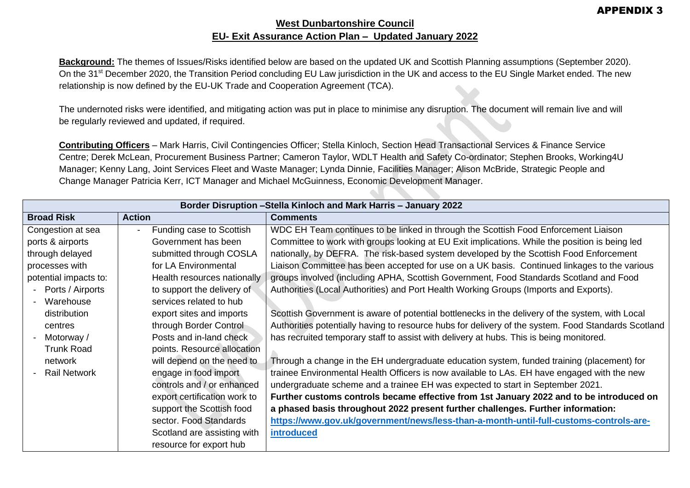## **West Dunbartonshire Council EU- Exit Assurance Action Plan – Updated January 2022**

**Background:** The themes of Issues/Risks identified below are based on the updated UK and Scottish Planning assumptions (September 2020). On the 31<sup>st</sup> December 2020, the Transition Period concluding EU Law jurisdiction in the UK and access to the EU Single Market ended. The new relationship is now defined by the EU-UK Trade and Cooperation Agreement (TCA).

The undernoted risks were identified, and mitigating action was put in place to minimise any disruption. The document will remain live and will be regularly reviewed and updated, if required.

**Contributing Officers** – Mark Harris, Civil Contingencies Officer; Stella Kinloch, Section Head Transactional Services & Finance Service Centre; Derek McLean, Procurement Business Partner; Cameron Taylor, WDLT Health and Safety Co-ordinator; Stephen Brooks, Working4U Manager; Kenny Lang, Joint Services Fleet and Waste Manager; Lynda Dinnie, Facilities Manager; Alison McBride, Strategic People and Change Manager Patricia Kerr, ICT Manager and Michael McGuinness, Economic Development Manager.

|                                       | Border Disruption - Stella Kinloch and Mark Harris - January 2022 |                                                                                                     |  |  |
|---------------------------------------|-------------------------------------------------------------------|-----------------------------------------------------------------------------------------------------|--|--|
| <b>Broad Risk</b>                     | <b>Action</b>                                                     | <b>Comments</b>                                                                                     |  |  |
| Congestion at sea                     | Funding case to Scottish                                          | WDC EH Team continues to be linked in through the Scottish Food Enforcement Liaison                 |  |  |
| ports & airports                      | Government has been                                               | Committee to work with groups looking at EU Exit implications. While the position is being led      |  |  |
| through delayed                       | submitted through COSLA                                           | nationally, by DEFRA. The risk-based system developed by the Scottish Food Enforcement              |  |  |
| processes with                        | for LA Environmental                                              | Liaison Committee has been accepted for use on a UK basis. Continued linkages to the various        |  |  |
| potential impacts to:                 | Health resources nationally                                       | groups involved (including APHA, Scottish Government, Food Standards Scotland and Food              |  |  |
| Ports / Airports                      | to support the delivery of                                        | Authorities (Local Authorities) and Port Health Working Groups (Imports and Exports).               |  |  |
| Warehouse<br>$\overline{\phantom{0}}$ | services related to hub                                           |                                                                                                     |  |  |
| distribution                          | export sites and imports                                          | Scottish Government is aware of potential bottlenecks in the delivery of the system, with Local     |  |  |
| centres                               | through Border Control                                            | Authorities potentially having to resource hubs for delivery of the system. Food Standards Scotland |  |  |
| Motorway /<br>$\blacksquare$          | Posts and in-land check                                           | has recruited temporary staff to assist with delivery at hubs. This is being monitored.             |  |  |
| <b>Trunk Road</b>                     | points. Resource allocation                                       |                                                                                                     |  |  |
| network                               | will depend on the need to                                        | Through a change in the EH undergraduate education system, funded training (placement) for          |  |  |
| <b>Rail Network</b>                   | engage in food import                                             | trainee Environmental Health Officers is now available to LAs. EH have engaged with the new         |  |  |
|                                       | controls and / or enhanced                                        | undergraduate scheme and a trainee EH was expected to start in September 2021.                      |  |  |
|                                       | export certification work to                                      | Further customs controls became effective from 1st January 2022 and to be introduced on             |  |  |
|                                       | support the Scottish food                                         | a phased basis throughout 2022 present further challenges. Further information:                     |  |  |
|                                       | sector. Food Standards                                            | https://www.gov.uk/government/news/less-than-a-month-until-full-customs-controls-are-               |  |  |
|                                       | Scotland are assisting with                                       | <i>introduced</i>                                                                                   |  |  |
|                                       | resource for export hub                                           |                                                                                                     |  |  |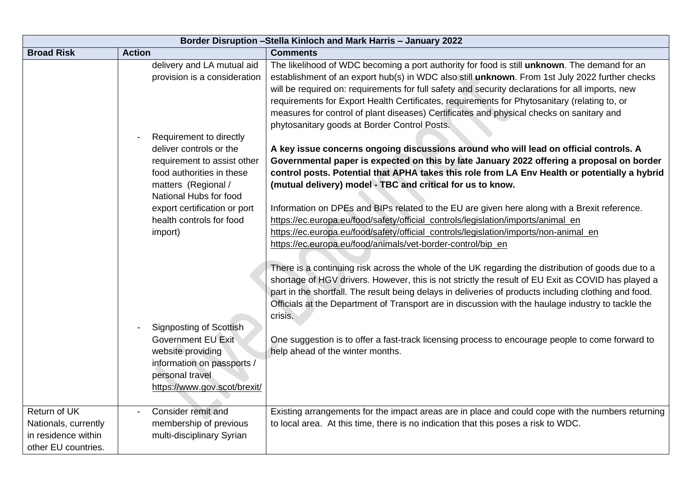| Border Disruption - Stella Kinloch and Mark Harris - January 2022                  |                                                                                                                                                                 |                                                                                                                                                                                                                                                                                                                                                                                                                                                                                                                                                |  |
|------------------------------------------------------------------------------------|-----------------------------------------------------------------------------------------------------------------------------------------------------------------|------------------------------------------------------------------------------------------------------------------------------------------------------------------------------------------------------------------------------------------------------------------------------------------------------------------------------------------------------------------------------------------------------------------------------------------------------------------------------------------------------------------------------------------------|--|
| <b>Broad Risk</b>                                                                  | <b>Action</b>                                                                                                                                                   | <b>Comments</b>                                                                                                                                                                                                                                                                                                                                                                                                                                                                                                                                |  |
|                                                                                    | delivery and LA mutual aid<br>provision is a consideration                                                                                                      | The likelihood of WDC becoming a port authority for food is still unknown. The demand for an<br>establishment of an export hub(s) in WDC also still unknown. From 1st July 2022 further checks<br>will be required on: requirements for full safety and security declarations for all imports, new<br>requirements for Export Health Certificates, requirements for Phytosanitary (relating to, or<br>measures for control of plant diseases) Certificates and physical checks on sanitary and<br>phytosanitary goods at Border Control Posts. |  |
|                                                                                    | Requirement to directly<br>deliver controls or the<br>requirement to assist other<br>food authorities in these<br>matters (Regional /<br>National Hubs for food | A key issue concerns ongoing discussions around who will lead on official controls. A<br>Governmental paper is expected on this by late January 2022 offering a proposal on border<br>control posts. Potential that APHA takes this role from LA Env Health or potentially a hybrid<br>(mutual delivery) model - TBC and critical for us to know.                                                                                                                                                                                              |  |
|                                                                                    | export certification or port<br>health controls for food<br>import)                                                                                             | Information on DPEs and BIPs related to the EU are given here along with a Brexit reference.<br>https://ec.europa.eu/food/safety/official_controls/legislation/imports/animal_en<br>https://ec.europa.eu/food/safety/official_controls/legislation/imports/non-animal_en<br>https://ec.europa.eu/food/animals/vet-border-control/bip_en                                                                                                                                                                                                        |  |
|                                                                                    |                                                                                                                                                                 | There is a continuing risk across the whole of the UK regarding the distribution of goods due to a<br>shortage of HGV drivers. However, this is not strictly the result of EU Exit as COVID has played a<br>part in the shortfall. The result being delays in deliveries of products including clothing and food.<br>Officials at the Department of Transport are in discussion with the haulage industry to tackle the<br>crisis.                                                                                                             |  |
|                                                                                    | <b>Signposting of Scottish</b><br>Government EU Exit<br>website providing<br>information on passports /<br>personal travel<br>https://www.gov.scot/brexit/      | One suggestion is to offer a fast-track licensing process to encourage people to come forward to<br>help ahead of the winter months.                                                                                                                                                                                                                                                                                                                                                                                                           |  |
| Return of UK<br>Nationals, currently<br>in residence within<br>other EU countries. | Consider remit and<br>membership of previous<br>multi-disciplinary Syrian                                                                                       | Existing arrangements for the impact areas are in place and could cope with the numbers returning<br>to local area. At this time, there is no indication that this poses a risk to WDC.                                                                                                                                                                                                                                                                                                                                                        |  |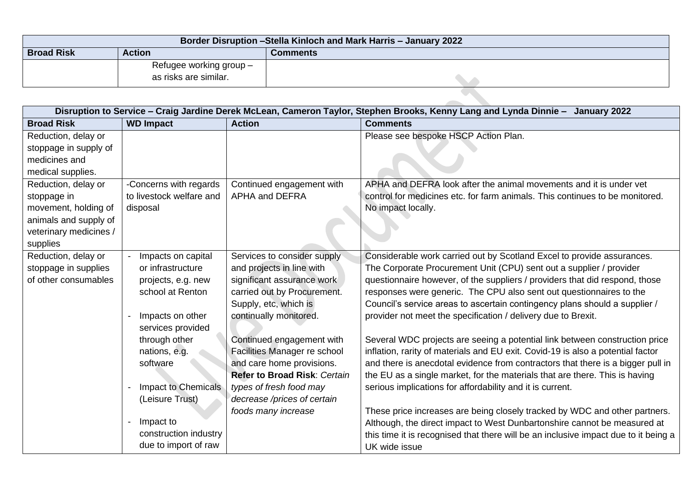| Border Disruption - Stella Kinloch and Mark Harris - January 2022 |                                                  |  |  |  |
|-------------------------------------------------------------------|--------------------------------------------------|--|--|--|
| <b>Broad Risk</b>                                                 | <b>Action</b><br>Comments                        |  |  |  |
|                                                                   | Refugee working group -<br>as risks are similar. |  |  |  |
|                                                                   |                                                  |  |  |  |

|                        | Disruption to Service - Craig Jardine Derek McLean, Cameron Taylor, Stephen Brooks, Kenny Lang and Lynda Dinnie - January 2022 |                                     |                                                                                                                                                        |  |
|------------------------|--------------------------------------------------------------------------------------------------------------------------------|-------------------------------------|--------------------------------------------------------------------------------------------------------------------------------------------------------|--|
| <b>Broad Risk</b>      | <b>WD Impact</b>                                                                                                               | <b>Action</b>                       | <b>Comments</b>                                                                                                                                        |  |
| Reduction, delay or    |                                                                                                                                |                                     | Please see bespoke HSCP Action Plan.                                                                                                                   |  |
| stoppage in supply of  |                                                                                                                                |                                     |                                                                                                                                                        |  |
| medicines and          |                                                                                                                                |                                     |                                                                                                                                                        |  |
| medical supplies.      |                                                                                                                                |                                     |                                                                                                                                                        |  |
| Reduction, delay or    | -Concerns with regards                                                                                                         | Continued engagement with           | APHA and DEFRA look after the animal movements and it is under vet                                                                                     |  |
| stoppage in            | to livestock welfare and                                                                                                       | <b>APHA and DEFRA</b>               | control for medicines etc. for farm animals. This continues to be monitored.                                                                           |  |
| movement, holding of   | disposal                                                                                                                       |                                     | No impact locally.                                                                                                                                     |  |
| animals and supply of  |                                                                                                                                |                                     |                                                                                                                                                        |  |
| veterinary medicines / |                                                                                                                                |                                     |                                                                                                                                                        |  |
| supplies               |                                                                                                                                |                                     |                                                                                                                                                        |  |
| Reduction, delay or    | Impacts on capital                                                                                                             | Services to consider supply         | Considerable work carried out by Scotland Excel to provide assurances.                                                                                 |  |
| stoppage in supplies   | or infrastructure                                                                                                              | and projects in line with           | The Corporate Procurement Unit (CPU) sent out a supplier / provider                                                                                    |  |
| of other consumables   | projects, e.g. new                                                                                                             | significant assurance work          | questionnaire however, of the suppliers / providers that did respond, those                                                                            |  |
|                        | school at Renton                                                                                                               | carried out by Procurement.         | responses were generic. The CPU also sent out questionnaires to the                                                                                    |  |
|                        |                                                                                                                                | Supply, etc, which is               | Council's service areas to ascertain contingency plans should a supplier /                                                                             |  |
|                        | Impacts on other                                                                                                               | continually monitored.              | provider not meet the specification / delivery due to Brexit.                                                                                          |  |
|                        | services provided                                                                                                              |                                     |                                                                                                                                                        |  |
|                        | through other                                                                                                                  | Continued engagement with           | Several WDC projects are seeing a potential link between construction price                                                                            |  |
|                        | nations, e.g.                                                                                                                  | Facilities Manager re school        | inflation, rarity of materials and EU exit. Covid-19 is also a potential factor                                                                        |  |
|                        | software                                                                                                                       | and care home provisions.           | and there is anecdotal evidence from contractors that there is a bigger pull in                                                                        |  |
|                        |                                                                                                                                | <b>Refer to Broad Risk: Certain</b> | the EU as a single market, for the materials that are there. This is having                                                                            |  |
|                        | <b>Impact to Chemicals</b>                                                                                                     | types of fresh food may             | serious implications for affordability and it is current.                                                                                              |  |
|                        | (Leisure Trust)                                                                                                                | decrease /prices of certain         |                                                                                                                                                        |  |
|                        | Impact to                                                                                                                      | foods many increase                 | These price increases are being closely tracked by WDC and other partners.<br>Although, the direct impact to West Dunbartonshire cannot be measured at |  |
|                        | construction industry                                                                                                          |                                     |                                                                                                                                                        |  |
|                        | due to import of raw                                                                                                           |                                     | this time it is recognised that there will be an inclusive impact due to it being a<br>UK wide issue                                                   |  |
|                        |                                                                                                                                |                                     |                                                                                                                                                        |  |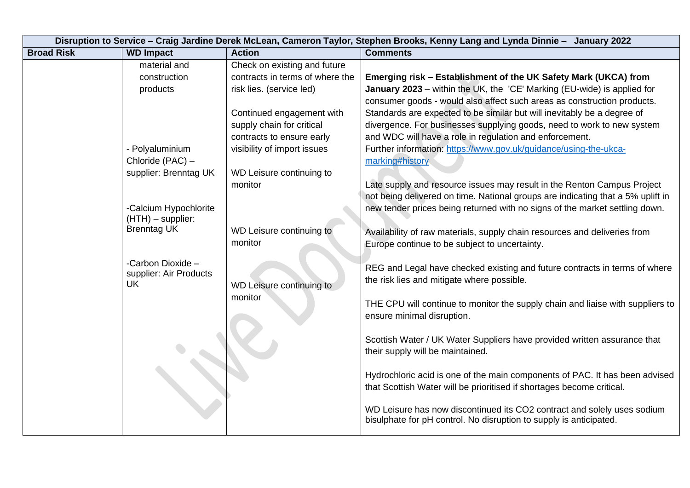| Disruption to Service - Craig Jardine Derek McLean, Cameron Taylor, Stephen Brooks, Kenny Lang and Lynda Dinnie - January 2022 |                                           |                                 |                                                                                                              |
|--------------------------------------------------------------------------------------------------------------------------------|-------------------------------------------|---------------------------------|--------------------------------------------------------------------------------------------------------------|
| <b>Broad Risk</b>                                                                                                              | <b>WD Impact</b>                          | <b>Action</b>                   | <b>Comments</b>                                                                                              |
|                                                                                                                                | material and                              | Check on existing and future    |                                                                                                              |
|                                                                                                                                | construction                              | contracts in terms of where the | Emerging risk - Establishment of the UK Safety Mark (UKCA) from                                              |
|                                                                                                                                | products                                  | risk lies. (service led)        | January 2023 - within the UK, the 'CE' Marking (EU-wide) is applied for                                      |
|                                                                                                                                |                                           |                                 | consumer goods - would also affect such areas as construction products.                                      |
|                                                                                                                                |                                           | Continued engagement with       | Standards are expected to be similar but will inevitably be a degree of                                      |
|                                                                                                                                |                                           | supply chain for critical       | divergence. For businesses supplying goods, need to work to new system                                       |
|                                                                                                                                |                                           | contracts to ensure early       | and WDC will have a role in regulation and enforcement.                                                      |
|                                                                                                                                | - Polyaluminium                           | visibility of import issues     | Further information: https://www.gov.uk/guidance/using-the-ukca-                                             |
|                                                                                                                                | Chloride (PAC) -                          |                                 | marking#history                                                                                              |
|                                                                                                                                | supplier: Brenntag UK                     | WD Leisure continuing to        |                                                                                                              |
|                                                                                                                                |                                           | monitor                         | Late supply and resource issues may result in the Renton Campus Project                                      |
|                                                                                                                                |                                           |                                 | not being delivered on time. National groups are indicating that a 5% uplift in                              |
|                                                                                                                                | -Calcium Hypochlorite                     |                                 | new tender prices being returned with no signs of the market settling down.                                  |
|                                                                                                                                | $(HTH)$ – supplier:<br><b>Brenntag UK</b> |                                 |                                                                                                              |
|                                                                                                                                |                                           | WD Leisure continuing to        | Availability of raw materials, supply chain resources and deliveries from                                    |
|                                                                                                                                |                                           | monitor                         | Europe continue to be subject to uncertainty.                                                                |
|                                                                                                                                | -Carbon Dioxide -                         |                                 |                                                                                                              |
|                                                                                                                                | supplier: Air Products                    |                                 | REG and Legal have checked existing and future contracts in terms of where                                   |
|                                                                                                                                | <b>UK</b>                                 | WD Leisure continuing to        | the risk lies and mitigate where possible.                                                                   |
|                                                                                                                                |                                           | monitor                         |                                                                                                              |
|                                                                                                                                |                                           |                                 | THE CPU will continue to monitor the supply chain and liaise with suppliers to<br>ensure minimal disruption. |
|                                                                                                                                |                                           |                                 |                                                                                                              |
|                                                                                                                                |                                           |                                 | Scottish Water / UK Water Suppliers have provided written assurance that                                     |
|                                                                                                                                |                                           |                                 | their supply will be maintained.                                                                             |
|                                                                                                                                |                                           |                                 |                                                                                                              |
|                                                                                                                                |                                           |                                 | Hydrochloric acid is one of the main components of PAC. It has been advised                                  |
|                                                                                                                                |                                           |                                 | that Scottish Water will be prioritised if shortages become critical.                                        |
|                                                                                                                                |                                           |                                 |                                                                                                              |
|                                                                                                                                |                                           |                                 | WD Leisure has now discontinued its CO2 contract and solely uses sodium                                      |
|                                                                                                                                |                                           |                                 | bisulphate for pH control. No disruption to supply is anticipated.                                           |
|                                                                                                                                |                                           |                                 |                                                                                                              |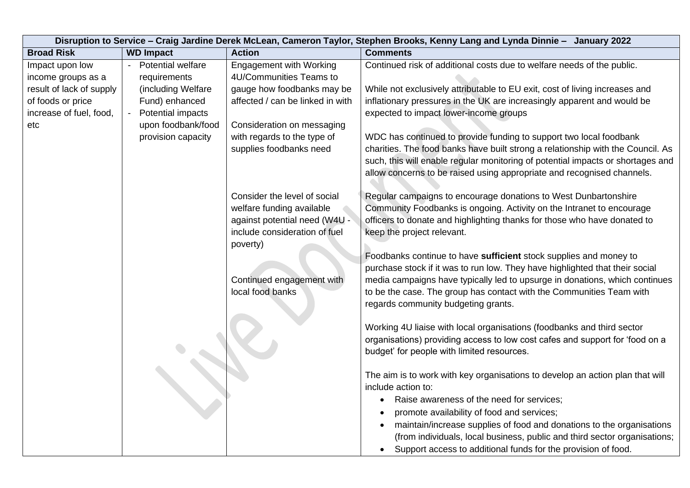|                          | Disruption to Service - Craig Jardine Derek McLean, Cameron Taylor, Stephen Brooks, Kenny Lang and Lynda Dinnie - January 2022 |                                  |                                                                                 |  |
|--------------------------|--------------------------------------------------------------------------------------------------------------------------------|----------------------------------|---------------------------------------------------------------------------------|--|
| <b>Broad Risk</b>        | <b>WD Impact</b>                                                                                                               | <b>Action</b>                    | <b>Comments</b>                                                                 |  |
| Impact upon low          | <b>Potential welfare</b><br>$\blacksquare$                                                                                     | <b>Engagement with Working</b>   | Continued risk of additional costs due to welfare needs of the public.          |  |
| income groups as a       | requirements                                                                                                                   | 4U/Communities Teams to          |                                                                                 |  |
| result of lack of supply | (including Welfare                                                                                                             | gauge how foodbanks may be       | While not exclusively attributable to EU exit, cost of living increases and     |  |
| of foods or price        | Fund) enhanced                                                                                                                 | affected / can be linked in with | inflationary pressures in the UK are increasingly apparent and would be         |  |
| increase of fuel, food,  | <b>Potential impacts</b>                                                                                                       |                                  | expected to impact lower-income groups                                          |  |
| etc                      | upon foodbank/food                                                                                                             | Consideration on messaging       |                                                                                 |  |
|                          | provision capacity                                                                                                             | with regards to the type of      | WDC has continued to provide funding to support two local foodbank              |  |
|                          |                                                                                                                                | supplies foodbanks need          | charities. The food banks have built strong a relationship with the Council. As |  |
|                          |                                                                                                                                |                                  | such, this will enable regular monitoring of potential impacts or shortages and |  |
|                          |                                                                                                                                |                                  | allow concerns to be raised using appropriate and recognised channels.          |  |
|                          |                                                                                                                                | Consider the level of social     | Regular campaigns to encourage donations to West Dunbartonshire                 |  |
|                          |                                                                                                                                | welfare funding available        | Community Foodbanks is ongoing. Activity on the Intranet to encourage           |  |
|                          |                                                                                                                                | against potential need (W4U -    | officers to donate and highlighting thanks for those who have donated to        |  |
|                          |                                                                                                                                | include consideration of fuel    | keep the project relevant.                                                      |  |
|                          |                                                                                                                                | poverty)                         |                                                                                 |  |
|                          |                                                                                                                                |                                  | Foodbanks continue to have sufficient stock supplies and money to               |  |
|                          |                                                                                                                                |                                  | purchase stock if it was to run low. They have highlighted that their social    |  |
|                          |                                                                                                                                | Continued engagement with        | media campaigns have typically led to upsurge in donations, which continues     |  |
|                          |                                                                                                                                | local food banks                 | to be the case. The group has contact with the Communities Team with            |  |
|                          |                                                                                                                                |                                  | regards community budgeting grants.                                             |  |
|                          |                                                                                                                                |                                  | Working 4U liaise with local organisations (foodbanks and third sector          |  |
|                          |                                                                                                                                |                                  | organisations) providing access to low cost cafes and support for 'food on a    |  |
|                          |                                                                                                                                |                                  | budget' for people with limited resources.                                      |  |
|                          |                                                                                                                                |                                  |                                                                                 |  |
|                          |                                                                                                                                |                                  | The aim is to work with key organisations to develop an action plan that will   |  |
|                          |                                                                                                                                |                                  | include action to:                                                              |  |
|                          |                                                                                                                                |                                  | Raise awareness of the need for services;<br>$\bullet$                          |  |
|                          |                                                                                                                                |                                  | promote availability of food and services;                                      |  |
|                          |                                                                                                                                |                                  | maintain/increase supplies of food and donations to the organisations           |  |
|                          |                                                                                                                                |                                  | (from individuals, local business, public and third sector organisations;       |  |
|                          |                                                                                                                                |                                  | Support access to additional funds for the provision of food.                   |  |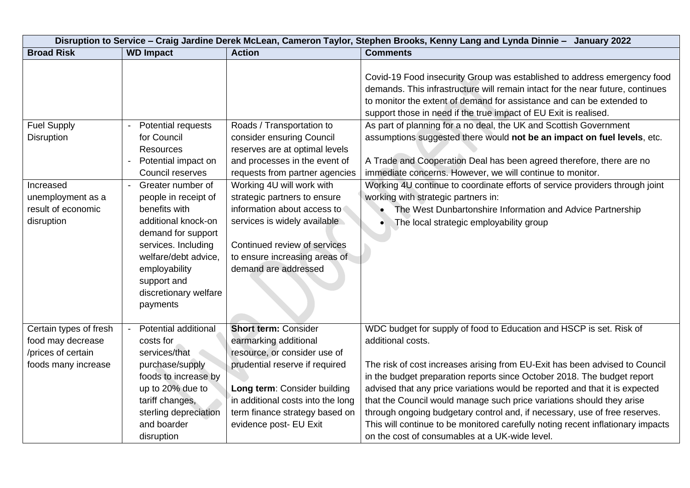|                                         | Disruption to Service - Craig Jardine Derek McLean, Cameron Taylor, Stephen Brooks, Kenny Lang and Lynda Dinnie - January 2022                                                               |                                                                                                                                                                 |                                                                                                                                                                                                                                                                                                                                                                                                                                                                                                                                   |  |
|-----------------------------------------|----------------------------------------------------------------------------------------------------------------------------------------------------------------------------------------------|-----------------------------------------------------------------------------------------------------------------------------------------------------------------|-----------------------------------------------------------------------------------------------------------------------------------------------------------------------------------------------------------------------------------------------------------------------------------------------------------------------------------------------------------------------------------------------------------------------------------------------------------------------------------------------------------------------------------|--|
| <b>Broad Risk</b>                       | <b>WD Impact</b>                                                                                                                                                                             | <b>Action</b>                                                                                                                                                   | <b>Comments</b>                                                                                                                                                                                                                                                                                                                                                                                                                                                                                                                   |  |
|                                         |                                                                                                                                                                                              |                                                                                                                                                                 | Covid-19 Food insecurity Group was established to address emergency food<br>demands. This infrastructure will remain intact for the near future, continues<br>to monitor the extent of demand for assistance and can be extended to<br>support those in need if the true impact of EU Exit is realised.                                                                                                                                                                                                                           |  |
| <b>Fuel Supply</b>                      | Potential requests<br>$\blacksquare$                                                                                                                                                         | Roads / Transportation to                                                                                                                                       | As part of planning for a no deal, the UK and Scottish Government                                                                                                                                                                                                                                                                                                                                                                                                                                                                 |  |
| <b>Disruption</b>                       | for Council<br><b>Resources</b>                                                                                                                                                              | consider ensuring Council<br>reserves are at optimal levels                                                                                                     | assumptions suggested there would not be an impact on fuel levels, etc.                                                                                                                                                                                                                                                                                                                                                                                                                                                           |  |
|                                         | Potential impact on<br>$\blacksquare$                                                                                                                                                        | and processes in the event of                                                                                                                                   | A Trade and Cooperation Deal has been agreed therefore, there are no                                                                                                                                                                                                                                                                                                                                                                                                                                                              |  |
|                                         | Council reserves                                                                                                                                                                             | requests from partner agencies                                                                                                                                  | immediate concerns. However, we will continue to monitor.                                                                                                                                                                                                                                                                                                                                                                                                                                                                         |  |
| Increased                               | Greater number of<br>$\blacksquare$                                                                                                                                                          | Working 4U will work with                                                                                                                                       | Working 4U continue to coordinate efforts of service providers through joint                                                                                                                                                                                                                                                                                                                                                                                                                                                      |  |
| unemployment as a                       | people in receipt of                                                                                                                                                                         | strategic partners to ensure                                                                                                                                    | working with strategic partners in:                                                                                                                                                                                                                                                                                                                                                                                                                                                                                               |  |
| result of economic                      | benefits with                                                                                                                                                                                | information about access to                                                                                                                                     | The West Dunbartonshire Information and Advice Partnership                                                                                                                                                                                                                                                                                                                                                                                                                                                                        |  |
| disruption<br>Certain types of fresh    | additional knock-on<br>demand for support<br>services. Including<br>welfare/debt advice,<br>employability<br>support and<br>discretionary welfare<br>payments<br><b>Potential additional</b> | services is widely available<br>Continued review of services<br>to ensure increasing areas of<br>demand are addressed<br><b>Short term: Consider</b>            | The local strategic employability group<br>WDC budget for supply of food to Education and HSCP is set. Risk of                                                                                                                                                                                                                                                                                                                                                                                                                    |  |
| food may decrease<br>/prices of certain | costs for<br>services/that                                                                                                                                                                   | earmarking additional<br>resource, or consider use of                                                                                                           | additional costs.                                                                                                                                                                                                                                                                                                                                                                                                                                                                                                                 |  |
| foods many increase                     | purchase/supply<br>foods to increase by<br>up to 20% due to<br>tariff changes,<br>sterling depreciation<br>and boarder<br>disruption                                                         | prudential reserve if required<br>Long term: Consider building<br>in additional costs into the long<br>term finance strategy based on<br>evidence post- EU Exit | The risk of cost increases arising from EU-Exit has been advised to Council<br>in the budget preparation reports since October 2018. The budget report<br>advised that any price variations would be reported and that it is expected<br>that the Council would manage such price variations should they arise<br>through ongoing budgetary control and, if necessary, use of free reserves.<br>This will continue to be monitored carefully noting recent inflationary impacts<br>on the cost of consumables at a UK-wide level. |  |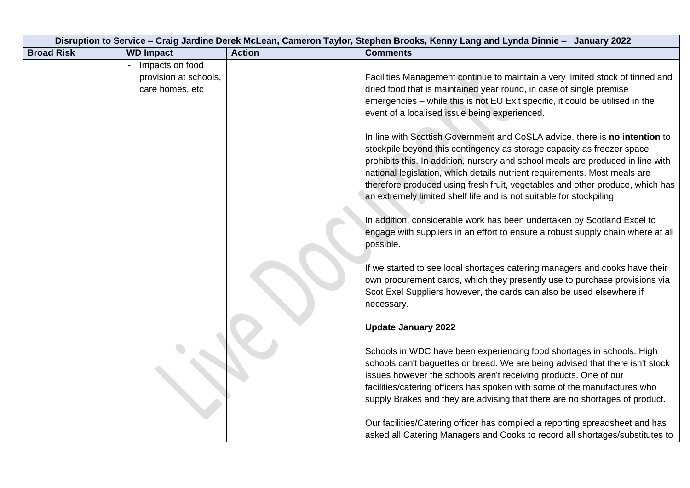| Disruption to Service - Craig Jardine Derek McLean, Cameron Taylor, Stephen Brooks, Kenny Lang and Lynda Dinnie - January 2022 |                       |               |                                                                                                                                                                                                                                                                                                                                                                                                                                                                                                                                                                                                                                              |
|--------------------------------------------------------------------------------------------------------------------------------|-----------------------|---------------|----------------------------------------------------------------------------------------------------------------------------------------------------------------------------------------------------------------------------------------------------------------------------------------------------------------------------------------------------------------------------------------------------------------------------------------------------------------------------------------------------------------------------------------------------------------------------------------------------------------------------------------------|
| <b>Broad Risk</b>                                                                                                              | <b>WD Impact</b>      | <b>Action</b> | <b>Comments</b>                                                                                                                                                                                                                                                                                                                                                                                                                                                                                                                                                                                                                              |
|                                                                                                                                | Impacts on food       |               |                                                                                                                                                                                                                                                                                                                                                                                                                                                                                                                                                                                                                                              |
|                                                                                                                                | provision at schools, |               | Facilities Management continue to maintain a very limited stock of tinned and                                                                                                                                                                                                                                                                                                                                                                                                                                                                                                                                                                |
|                                                                                                                                | care homes, etc       |               | dried food that is maintained year round, in case of single premise                                                                                                                                                                                                                                                                                                                                                                                                                                                                                                                                                                          |
|                                                                                                                                |                       |               | emergencies - while this is not EU Exit specific, it could be utilised in the                                                                                                                                                                                                                                                                                                                                                                                                                                                                                                                                                                |
|                                                                                                                                |                       |               | event of a localised issue being experienced.                                                                                                                                                                                                                                                                                                                                                                                                                                                                                                                                                                                                |
|                                                                                                                                |                       |               | In line with Scottish Government and CoSLA advice, there is no intention to<br>stockpile beyond this contingency as storage capacity as freezer space<br>prohibits this. In addition, nursery and school meals are produced in line with<br>national legislation, which details nutrient requirements. Most meals are<br>therefore produced using fresh fruit, vegetables and other produce, which has<br>an extremely limited shelf life and is not suitable for stockpiling.<br>In addition, considerable work has been undertaken by Scotland Excel to<br>engage with suppliers in an effort to ensure a robust supply chain where at all |
|                                                                                                                                |                       |               | possible.                                                                                                                                                                                                                                                                                                                                                                                                                                                                                                                                                                                                                                    |
|                                                                                                                                |                       |               | If we started to see local shortages catering managers and cooks have their                                                                                                                                                                                                                                                                                                                                                                                                                                                                                                                                                                  |
|                                                                                                                                |                       |               | own procurement cards, which they presently use to purchase provisions via<br>Scot Exel Suppliers however, the cards can also be used elsewhere if                                                                                                                                                                                                                                                                                                                                                                                                                                                                                           |
|                                                                                                                                |                       |               | necessary.                                                                                                                                                                                                                                                                                                                                                                                                                                                                                                                                                                                                                                   |
|                                                                                                                                |                       |               | <b>Update January 2022</b>                                                                                                                                                                                                                                                                                                                                                                                                                                                                                                                                                                                                                   |
|                                                                                                                                |                       |               | Schools in WDC have been experiencing food shortages in schools. High                                                                                                                                                                                                                                                                                                                                                                                                                                                                                                                                                                        |
|                                                                                                                                |                       |               | schools can't baguettes or bread. We are being advised that there isn't stock                                                                                                                                                                                                                                                                                                                                                                                                                                                                                                                                                                |
|                                                                                                                                |                       |               | issues however the schools aren't receiving products. One of our                                                                                                                                                                                                                                                                                                                                                                                                                                                                                                                                                                             |
|                                                                                                                                |                       |               | facilities/catering officers has spoken with some of the manufactures who                                                                                                                                                                                                                                                                                                                                                                                                                                                                                                                                                                    |
|                                                                                                                                |                       |               | supply Brakes and they are advising that there are no shortages of product.                                                                                                                                                                                                                                                                                                                                                                                                                                                                                                                                                                  |
|                                                                                                                                |                       |               | Our facilities/Catering officer has compiled a reporting spreadsheet and has                                                                                                                                                                                                                                                                                                                                                                                                                                                                                                                                                                 |
|                                                                                                                                |                       |               | asked all Catering Managers and Cooks to record all shortages/substitutes to                                                                                                                                                                                                                                                                                                                                                                                                                                                                                                                                                                 |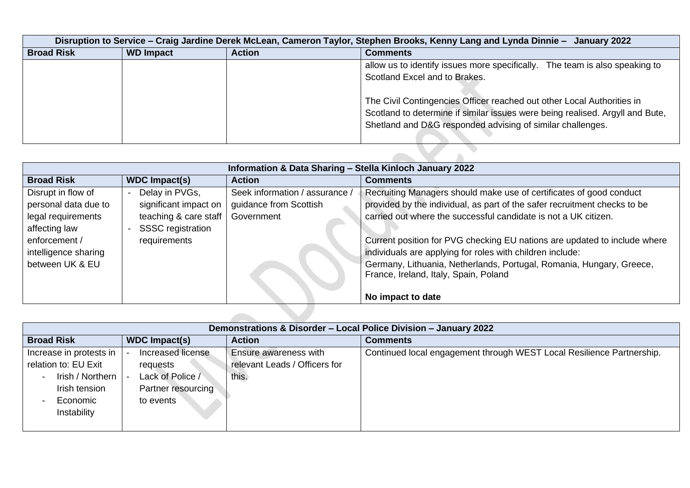|                   | Disruption to Service - Craig Jardine Derek McLean, Cameron Taylor, Stephen Brooks, Kenny Lang and Lynda Dinnie - January 2022 |               |                                                                                                                                                                                                                       |  |
|-------------------|--------------------------------------------------------------------------------------------------------------------------------|---------------|-----------------------------------------------------------------------------------------------------------------------------------------------------------------------------------------------------------------------|--|
| <b>Broad Risk</b> | <b>WD Impact</b>                                                                                                               | <b>Action</b> | <b>Comments</b>                                                                                                                                                                                                       |  |
|                   |                                                                                                                                |               | allow us to identify issues more specifically. The team is also speaking to                                                                                                                                           |  |
|                   |                                                                                                                                |               | Scotland Excel and to Brakes.                                                                                                                                                                                         |  |
|                   |                                                                                                                                |               | The Civil Contingencies Officer reached out other Local Authorities in<br>Scotland to determine if similar issues were being realised. Argyll and Bute,<br>Shetland and D&G responded advising of similar challenges. |  |
|                   |                                                                                                                                |               |                                                                                                                                                                                                                       |  |

|                      | Information & Data Sharing - Stella Kinloch January 2022 |                                |                                                                           |  |  |
|----------------------|----------------------------------------------------------|--------------------------------|---------------------------------------------------------------------------|--|--|
| <b>Broad Risk</b>    | <b>WDC Impact(s)</b>                                     | <b>Action</b>                  | <b>Comments</b>                                                           |  |  |
| Disrupt in flow of   | Delay in PVGs,                                           | Seek information / assurance / | Recruiting Managers should make use of certificates of good conduct       |  |  |
| personal data due to | significant impact on                                    | guidance from Scottish         | provided by the individual, as part of the safer recruitment checks to be |  |  |
| legal requirements   | teaching & care staff                                    | Government                     | carried out where the successful candidate is not a UK citizen.           |  |  |
| affecting law        | <b>SSSC</b> registration                                 |                                |                                                                           |  |  |
| enforcement /        | requirements                                             |                                | Current position for PVG checking EU nations are updated to include where |  |  |
| intelligence sharing |                                                          |                                | individuals are applying for roles with children include:                 |  |  |
| between UK & EU      |                                                          |                                | Germany, Lithuania, Netherlands, Portugal, Romania, Hungary, Greece,      |  |  |
|                      |                                                          |                                | France, Ireland, Italy, Spain, Poland                                     |  |  |
|                      |                                                          |                                | No impact to date                                                         |  |  |
|                      |                                                          |                                |                                                                           |  |  |

| Demonstrations & Disorder - Local Police Division - January 2022                     |                                                               |                                                                       |  |
|--------------------------------------------------------------------------------------|---------------------------------------------------------------|-----------------------------------------------------------------------|--|
| <b>WDC</b> Impact(s)                                                                 | <b>Action</b>                                                 | <b>Comments</b>                                                       |  |
| Increased license<br>requests<br>Lack of Police /<br>Partner resourcing<br>to events | <b>Ensure awareness with</b><br>relevant Leads / Officers for | Continued local engagement through WEST Local Resilience Partnership. |  |
|                                                                                      |                                                               | this.                                                                 |  |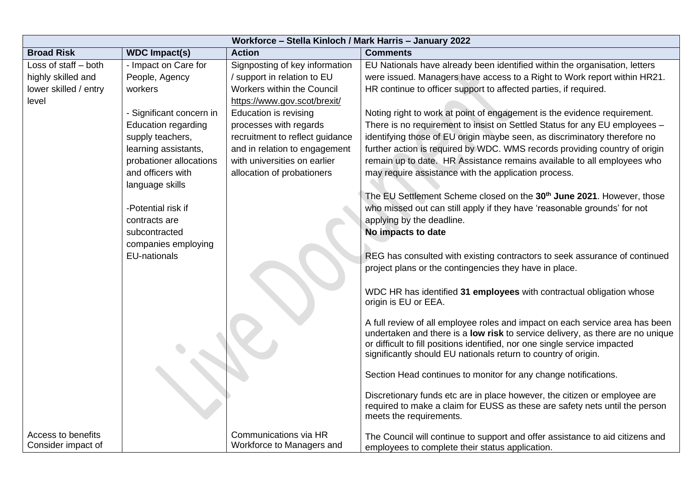| Workforce - Stella Kinloch / Mark Harris - January 2022 |                                       |                                 |                                                                                   |
|---------------------------------------------------------|---------------------------------------|---------------------------------|-----------------------------------------------------------------------------------|
| <b>Broad Risk</b>                                       | <b>Action</b><br><b>WDC Impact(s)</b> |                                 | <b>Comments</b>                                                                   |
| Loss of staff - both                                    | - Impact on Care for                  | Signposting of key information  | EU Nationals have already been identified within the organisation, letters        |
| highly skilled and                                      | People, Agency                        | / support in relation to EU     | were issued. Managers have access to a Right to Work report within HR21.          |
| lower skilled / entry                                   | workers                               | Workers within the Council      | HR continue to officer support to affected parties, if required.                  |
| level                                                   |                                       | https://www.gov.scot/brexit/    |                                                                                   |
|                                                         | - Significant concern in              | <b>Education is revising</b>    | Noting right to work at point of engagement is the evidence requirement.          |
|                                                         | <b>Education regarding</b>            | processes with regards          | There is no requirement to insist on Settled Status for any EU employees -        |
|                                                         | supply teachers,                      | recruitment to reflect guidance | identifying those of EU origin maybe seen, as discriminatory therefore no         |
|                                                         | learning assistants,                  | and in relation to engagement   | further action is required by WDC. WMS records providing country of origin        |
|                                                         | probationer allocations               | with universities on earlier    | remain up to date. HR Assistance remains available to all employees who           |
|                                                         | and officers with                     | allocation of probationers      | may require assistance with the application process.                              |
|                                                         | language skills                       |                                 |                                                                                   |
|                                                         |                                       |                                 | The EU Settlement Scheme closed on the 30 <sup>th</sup> June 2021. However, those |
|                                                         | -Potential risk if                    |                                 | who missed out can still apply if they have 'reasonable grounds' for not          |
|                                                         | contracts are                         |                                 | applying by the deadline.                                                         |
|                                                         | subcontracted                         |                                 | No impacts to date                                                                |
|                                                         | companies employing                   |                                 |                                                                                   |
|                                                         | EU-nationals                          |                                 | REG has consulted with existing contractors to seek assurance of continued        |
|                                                         |                                       |                                 | project plans or the contingencies they have in place.                            |
|                                                         |                                       |                                 |                                                                                   |
|                                                         |                                       |                                 | WDC HR has identified 31 employees with contractual obligation whose              |
|                                                         |                                       |                                 | origin is EU or EEA.                                                              |
|                                                         |                                       |                                 | A full review of all employee roles and impact on each service area has been      |
|                                                         |                                       |                                 | undertaken and there is a low risk to service delivery, as there are no unique    |
|                                                         |                                       |                                 | or difficult to fill positions identified, nor one single service impacted        |
|                                                         |                                       |                                 | significantly should EU nationals return to country of origin.                    |
|                                                         |                                       |                                 |                                                                                   |
|                                                         |                                       |                                 | Section Head continues to monitor for any change notifications.                   |
|                                                         |                                       |                                 | Discretionary funds etc are in place however, the citizen or employee are         |
|                                                         |                                       |                                 | required to make a claim for EUSS as these are safety nets until the person       |
|                                                         |                                       |                                 | meets the requirements.                                                           |
|                                                         |                                       |                                 |                                                                                   |
| Access to benefits                                      |                                       | Communications via HR           | The Council will continue to support and offer assistance to aid citizens and     |
| Consider impact of                                      |                                       | Workforce to Managers and       | employees to complete their status application.                                   |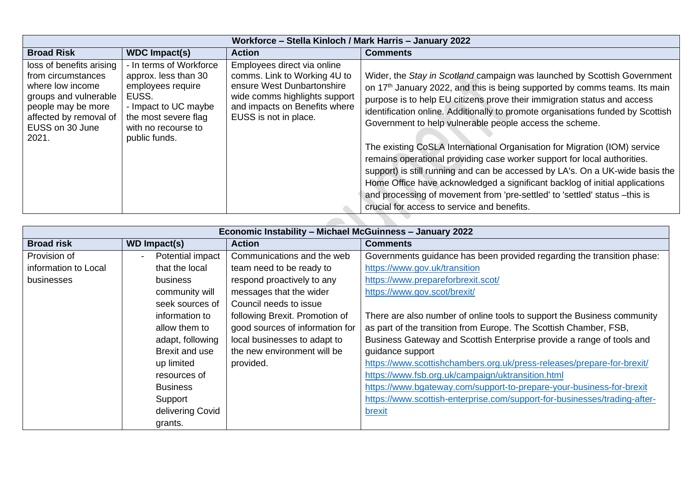| Workforce - Stella Kinloch / Mark Harris - January 2022                                                                                                                 |                                                                                                                                                                       |                                                                                                                                                                                      |                                                                                                                                                                                                                                                                                                                                                                                                                                                                                                                                                                                                                                                                                                                                                                                                                                                    |
|-------------------------------------------------------------------------------------------------------------------------------------------------------------------------|-----------------------------------------------------------------------------------------------------------------------------------------------------------------------|--------------------------------------------------------------------------------------------------------------------------------------------------------------------------------------|----------------------------------------------------------------------------------------------------------------------------------------------------------------------------------------------------------------------------------------------------------------------------------------------------------------------------------------------------------------------------------------------------------------------------------------------------------------------------------------------------------------------------------------------------------------------------------------------------------------------------------------------------------------------------------------------------------------------------------------------------------------------------------------------------------------------------------------------------|
| <b>Broad Risk</b>                                                                                                                                                       | <b>WDC Impact(s)</b>                                                                                                                                                  | <b>Action</b>                                                                                                                                                                        | <b>Comments</b>                                                                                                                                                                                                                                                                                                                                                                                                                                                                                                                                                                                                                                                                                                                                                                                                                                    |
| loss of benefits arising<br>from circumstances<br>where low income<br>groups and vulnerable<br>people may be more<br>affected by removal of<br>EUSS on 30 June<br>2021. | - In terms of Workforce<br>approx. less than 30<br>employees require<br>EUSS.<br>- Impact to UC maybe<br>the most severe flag<br>with no recourse to<br>public funds. | Employees direct via online<br>comms. Link to Working 4U to<br>ensure West Dunbartonshire<br>wide comms highlights support<br>and impacts on Benefits where<br>EUSS is not in place. | Wider, the Stay in Scotland campaign was launched by Scottish Government<br>on 17 <sup>th</sup> January 2022, and this is being supported by comms teams. Its main<br>purpose is to help EU citizens prove their immigration status and access<br>identification online. Additionally to promote organisations funded by Scottish<br>Government to help vulnerable people access the scheme.<br>The existing CoSLA International Organisation for Migration (IOM) service<br>remains operational providing case worker support for local authorities.<br>support) is still running and can be accessed by LA's. On a UK-wide basis the<br>Home Office have acknowledged a significant backlog of initial applications<br>and processing of movement from 'pre-settled' to 'settled' status -this is<br>crucial for access to service and benefits. |

| Economic Instability - Michael McGuinness - January 2022 |                     |                                 |                                                                           |  |
|----------------------------------------------------------|---------------------|---------------------------------|---------------------------------------------------------------------------|--|
| <b>Broad risk</b>                                        | <b>WD Impact(s)</b> | <b>Action</b>                   | <b>Comments</b>                                                           |  |
| Provision of                                             | Potential impact    | Communications and the web      | Governments guidance has been provided regarding the transition phase:    |  |
| information to Local                                     | that the local      | team need to be ready to        | https://www.gov.uk/transition                                             |  |
| businesses                                               | business            | respond proactively to any      | https://www.prepareforbrexit.scot/                                        |  |
|                                                          | community will      | messages that the wider         | https://www.gov.scot/brexit/                                              |  |
|                                                          | seek sources of     | Council needs to issue          |                                                                           |  |
|                                                          | information to      | following Brexit. Promotion of  | There are also number of online tools to support the Business community   |  |
|                                                          | allow them to       | good sources of information for | as part of the transition from Europe. The Scottish Chamber, FSB,         |  |
|                                                          | adapt, following    | local businesses to adapt to    | Business Gateway and Scottish Enterprise provide a range of tools and     |  |
|                                                          | Brexit and use      | the new environment will be     | guidance support                                                          |  |
|                                                          | up limited          | provided.                       | https://www.scottishchambers.org.uk/press-releases/prepare-for-brexit/    |  |
|                                                          | resources of        |                                 | https://www.fsb.org.uk/campaign/uktransition.html                         |  |
|                                                          | <b>Business</b>     |                                 | https://www.bgateway.com/support-to-prepare-your-business-for-brexit      |  |
|                                                          | Support             |                                 | https://www.scottish-enterprise.com/support-for-businesses/trading-after- |  |
|                                                          | delivering Covid    |                                 | brexit                                                                    |  |
|                                                          | grants.             |                                 |                                                                           |  |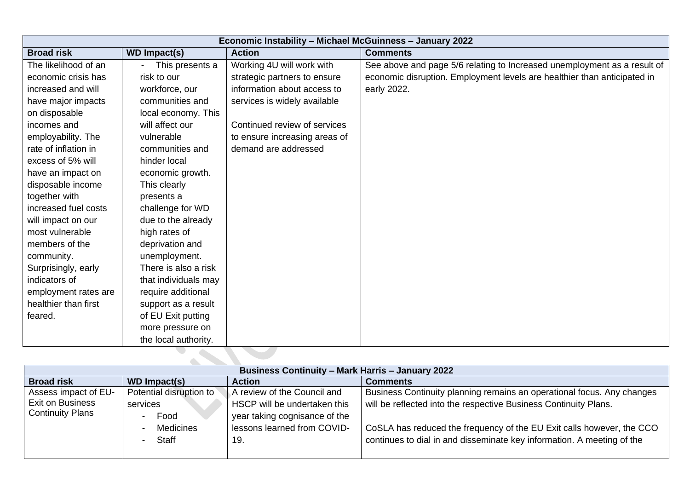| Economic Instability - Michael McGuinness - January 2022 |                      |                               |                                                                          |
|----------------------------------------------------------|----------------------|-------------------------------|--------------------------------------------------------------------------|
| <b>Broad risk</b>                                        | <b>WD Impact(s)</b>  | <b>Action</b>                 | <b>Comments</b>                                                          |
| The likelihood of an                                     | This presents a      | Working 4U will work with     | See above and page 5/6 relating to Increased unemployment as a result of |
| economic crisis has                                      | risk to our          | strategic partners to ensure  | economic disruption. Employment levels are healthier than anticipated in |
| increased and will                                       | workforce, our       | information about access to   | early 2022.                                                              |
| have major impacts                                       | communities and      | services is widely available  |                                                                          |
| on disposable                                            | local economy. This  |                               |                                                                          |
| incomes and                                              | will affect our      | Continued review of services  |                                                                          |
| employability. The                                       | vulnerable           | to ensure increasing areas of |                                                                          |
| rate of inflation in                                     | communities and      | demand are addressed          |                                                                          |
| excess of 5% will                                        | hinder local         |                               |                                                                          |
| have an impact on                                        | economic growth.     |                               |                                                                          |
| disposable income                                        | This clearly         |                               |                                                                          |
| together with                                            | presents a           |                               |                                                                          |
| increased fuel costs                                     | challenge for WD     |                               |                                                                          |
| will impact on our                                       | due to the already   |                               |                                                                          |
| most vulnerable                                          | high rates of        |                               |                                                                          |
| members of the                                           | deprivation and      |                               |                                                                          |
| community.                                               | unemployment.        |                               |                                                                          |
| Surprisingly, early                                      | There is also a risk |                               |                                                                          |
| indicators of                                            | that individuals may |                               |                                                                          |
| employment rates are                                     | require additional   |                               |                                                                          |
| healthier than first                                     | support as a result  |                               |                                                                          |
| feared.                                                  | of EU Exit putting   |                               |                                                                          |
|                                                          | more pressure on     |                               |                                                                          |
|                                                          | the local authority. |                               |                                                                          |

| <b>Business Continuity - Mark Harris - January 2022</b> |                         |                               |                                                                        |  |
|---------------------------------------------------------|-------------------------|-------------------------------|------------------------------------------------------------------------|--|
| <b>Broad risk</b>                                       | WD Impact(s)            | <b>Action</b>                 | <b>Comments</b>                                                        |  |
| Assess impact of EU-                                    | Potential disruption to | A review of the Council and   | Business Continuity planning remains an operational focus. Any changes |  |
| <b>Exit on Business</b>                                 | services                | HSCP will be undertaken this  | will be reflected into the respective Business Continuity Plans.       |  |
| <b>Continuity Plans</b>                                 | Food                    | year taking cognisance of the |                                                                        |  |
|                                                         | <b>Medicines</b>        | lessons learned from COVID-   | CoSLA has reduced the frequency of the EU Exit calls however, the CCO  |  |
|                                                         | <b>Staff</b>            | 19                            | continues to dial in and disseminate key information. A meeting of the |  |
|                                                         |                         |                               |                                                                        |  |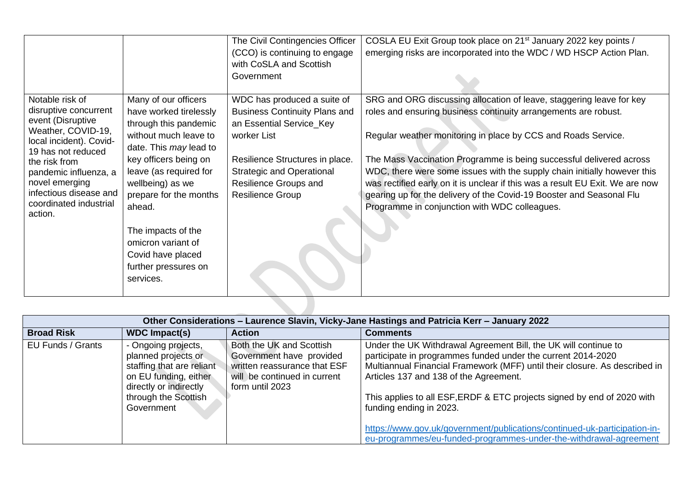|                                               |                        | The Civil Contingencies Officer      | COSLA EU Exit Group took place on 21 <sup>st</sup> January 2022 key points /  |
|-----------------------------------------------|------------------------|--------------------------------------|-------------------------------------------------------------------------------|
|                                               |                        | (CCO) is continuing to engage        | emerging risks are incorporated into the WDC / WD HSCP Action Plan.           |
|                                               |                        | with CoSLA and Scottish              |                                                                               |
|                                               |                        | Government                           |                                                                               |
|                                               |                        |                                      |                                                                               |
| Notable risk of                               | Many of our officers   | WDC has produced a suite of          | SRG and ORG discussing allocation of leave, staggering leave for key          |
| disruptive concurrent                         | have worked tirelessly | <b>Business Continuity Plans and</b> | roles and ensuring business continuity arrangements are robust.               |
| event (Disruptive                             | through this pandemic  | an Essential Service_Key             |                                                                               |
| Weather, COVID-19,<br>local incident). Covid- | without much leave to  | worker List                          | Regular weather monitoring in place by CCS and Roads Service.                 |
| 19 has not reduced                            | date. This may lead to |                                      |                                                                               |
| the risk from                                 | key officers being on  | Resilience Structures in place.      | The Mass Vaccination Programme is being successful delivered across           |
| pandemic influenza, a                         | leave (as required for | <b>Strategic and Operational</b>     | WDC, there were some issues with the supply chain initially however this      |
| novel emerging                                | wellbeing) as we       | Resilience Groups and                | was rectified early on it is unclear if this was a result EU Exit. We are now |
| infectious disease and                        | prepare for the months | Resilience Group                     | gearing up for the delivery of the Covid-19 Booster and Seasonal Flu          |
| coordinated industrial                        | ahead.                 |                                      | Programme in conjunction with WDC colleagues.                                 |
| action.                                       |                        |                                      |                                                                               |
|                                               | The impacts of the     |                                      |                                                                               |
|                                               | omicron variant of     |                                      |                                                                               |
|                                               | Covid have placed      |                                      |                                                                               |
|                                               | further pressures on   |                                      |                                                                               |
|                                               | services.              |                                      |                                                                               |
|                                               |                        |                                      |                                                                               |
|                                               |                        |                                      |                                                                               |
|                                               |                        |                                      |                                                                               |

| Other Considerations - Laurence Slavin, Vicky-Jane Hastings and Patricia Kerr - January 2022 |                                                                                                                                                                  |                                                                                                                                         |                                                                                                                                                                                                                                                                                                                                                                                                                                                                                                                 |  |
|----------------------------------------------------------------------------------------------|------------------------------------------------------------------------------------------------------------------------------------------------------------------|-----------------------------------------------------------------------------------------------------------------------------------------|-----------------------------------------------------------------------------------------------------------------------------------------------------------------------------------------------------------------------------------------------------------------------------------------------------------------------------------------------------------------------------------------------------------------------------------------------------------------------------------------------------------------|--|
| <b>Broad Risk</b>                                                                            | <b>WDC Impact(s)</b>                                                                                                                                             | <b>Action</b>                                                                                                                           | <b>Comments</b>                                                                                                                                                                                                                                                                                                                                                                                                                                                                                                 |  |
| EU Funds / Grants                                                                            | - Ongoing projects,<br>planned projects or<br>staffing that are reliant<br>on EU funding, either<br>directly or indirectly<br>through the Scottish<br>Government | Both the UK and Scottish<br>Government have provided<br>written reassurance that ESF<br>will be continued in current<br>form until 2023 | Under the UK Withdrawal Agreement Bill, the UK will continue to<br>participate in programmes funded under the current 2014-2020<br>Multiannual Financial Framework (MFF) until their closure. As described in<br>Articles 137 and 138 of the Agreement.<br>This applies to all ESF, ERDF & ETC projects signed by end of 2020 with<br>funding ending in 2023.<br>https://www.gov.uk/government/publications/continued-uk-participation-in-<br>eu-programmes/eu-funded-programmes-under-the-withdrawal-agreement |  |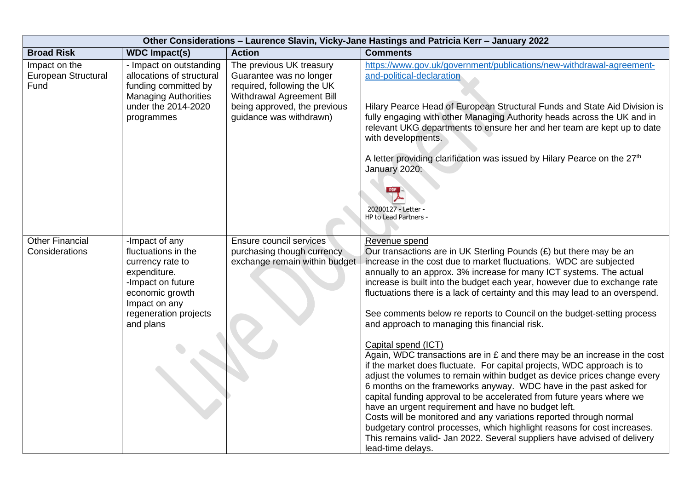| Other Considerations - Laurence Slavin, Vicky-Jane Hastings and Patricia Kerr - January 2022 |                                                                                                                                                                          |                                                                                                                                                                           |                                                                                                                                                                                                                                                                                                                                                                                                                                                                                                                                                                                                                                                                                                                                                                                                                                                                                                                                                                                                                                                                                                                                                                                                                                              |  |
|----------------------------------------------------------------------------------------------|--------------------------------------------------------------------------------------------------------------------------------------------------------------------------|---------------------------------------------------------------------------------------------------------------------------------------------------------------------------|----------------------------------------------------------------------------------------------------------------------------------------------------------------------------------------------------------------------------------------------------------------------------------------------------------------------------------------------------------------------------------------------------------------------------------------------------------------------------------------------------------------------------------------------------------------------------------------------------------------------------------------------------------------------------------------------------------------------------------------------------------------------------------------------------------------------------------------------------------------------------------------------------------------------------------------------------------------------------------------------------------------------------------------------------------------------------------------------------------------------------------------------------------------------------------------------------------------------------------------------|--|
| <b>Broad Risk</b>                                                                            | <b>WDC Impact(s)</b>                                                                                                                                                     | <b>Action</b>                                                                                                                                                             | <b>Comments</b>                                                                                                                                                                                                                                                                                                                                                                                                                                                                                                                                                                                                                                                                                                                                                                                                                                                                                                                                                                                                                                                                                                                                                                                                                              |  |
| Impact on the<br><b>European Structural</b><br>Fund                                          | - Impact on outstanding<br>allocations of structural<br>funding committed by<br><b>Managing Authorities</b><br>under the 2014-2020<br>programmes                         | The previous UK treasury<br>Guarantee was no longer<br>required, following the UK<br>Withdrawal Agreement Bill<br>being approved, the previous<br>guidance was withdrawn) | https://www.gov.uk/government/publications/new-withdrawal-agreement-<br>and-political-declaration<br>Hilary Pearce Head of European Structural Funds and State Aid Division is<br>fully engaging with other Managing Authority heads across the UK and in<br>relevant UKG departments to ensure her and her team are kept up to date<br>with developments.<br>A letter providing clarification was issued by Hilary Pearce on the 27 <sup>th</sup><br>January 2020:<br>PDF<br>20200127 - Letter<br><b>HP to Lead Partners -</b>                                                                                                                                                                                                                                                                                                                                                                                                                                                                                                                                                                                                                                                                                                              |  |
| <b>Other Financial</b><br>Considerations                                                     | -Impact of any<br>fluctuations in the<br>currency rate to<br>expenditure.<br>-Impact on future<br>economic growth<br>Impact on any<br>regeneration projects<br>and plans | Ensure council services<br>purchasing though currency<br>exchange remain within budget                                                                                    | Revenue spend<br>Our transactions are in UK Sterling Pounds (£) but there may be an<br>increase in the cost due to market fluctuations. WDC are subjected<br>annually to an approx. 3% increase for many ICT systems. The actual<br>increase is built into the budget each year, however due to exchange rate<br>fluctuations there is a lack of certainty and this may lead to an overspend.<br>See comments below re reports to Council on the budget-setting process<br>and approach to managing this financial risk.<br>Capital spend (ICT)<br>Again, WDC transactions are in $E$ and there may be an increase in the cost<br>if the market does fluctuate. For capital projects, WDC approach is to<br>adjust the volumes to remain within budget as device prices change every<br>6 months on the frameworks anyway. WDC have in the past asked for<br>capital funding approval to be accelerated from future years where we<br>have an urgent requirement and have no budget left.<br>Costs will be monitored and any variations reported through normal<br>budgetary control processes, which highlight reasons for cost increases.<br>This remains valid- Jan 2022. Several suppliers have advised of delivery<br>lead-time delays. |  |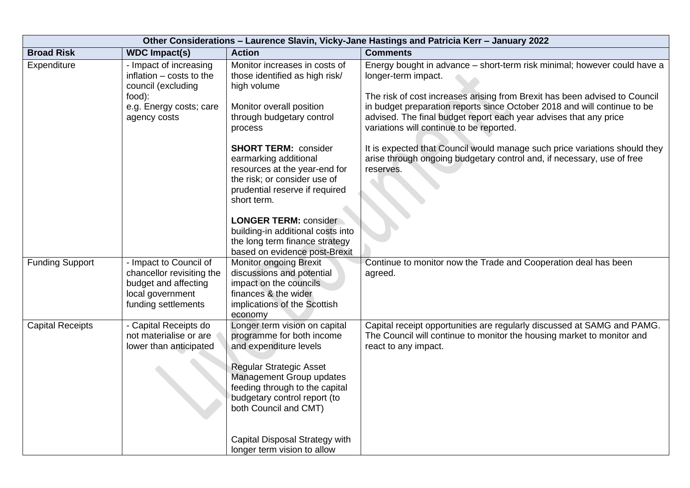| Other Considerations - Laurence Slavin, Vicky-Jane Hastings and Patricia Kerr - January 2022 |                                                                                                                               |                                                                                                                                                                                                                                                                                                                |                                                                                                                                                                                                                                                                                                                                                                            |  |
|----------------------------------------------------------------------------------------------|-------------------------------------------------------------------------------------------------------------------------------|----------------------------------------------------------------------------------------------------------------------------------------------------------------------------------------------------------------------------------------------------------------------------------------------------------------|----------------------------------------------------------------------------------------------------------------------------------------------------------------------------------------------------------------------------------------------------------------------------------------------------------------------------------------------------------------------------|--|
| <b>Broad Risk</b>                                                                            | <b>WDC Impact(s)</b>                                                                                                          | <b>Action</b>                                                                                                                                                                                                                                                                                                  | <b>Comments</b>                                                                                                                                                                                                                                                                                                                                                            |  |
| Expenditure                                                                                  | - Impact of increasing<br>inflation - costs to the<br>council (excluding<br>food):<br>e.g. Energy costs; care<br>agency costs | Monitor increases in costs of<br>those identified as high risk/<br>high volume<br>Monitor overall position<br>through budgetary control<br>process                                                                                                                                                             | Energy bought in advance - short-term risk minimal; however could have a<br>longer-term impact.<br>The risk of cost increases arising from Brexit has been advised to Council<br>in budget preparation reports since October 2018 and will continue to be<br>advised. The final budget report each year advises that any price<br>variations will continue to be reported. |  |
|                                                                                              |                                                                                                                               | <b>SHORT TERM: consider</b><br>earmarking additional<br>resources at the year-end for<br>the risk; or consider use of<br>prudential reserve if required<br>short term.<br><b>LONGER TERM: consider</b><br>building-in additional costs into<br>the long term finance strategy<br>based on evidence post-Brexit | It is expected that Council would manage such price variations should they<br>arise through ongoing budgetary control and, if necessary, use of free<br>reserves.                                                                                                                                                                                                          |  |
| <b>Funding Support</b>                                                                       | - Impact to Council of<br>chancellor revisiting the<br>budget and affecting<br>local government<br>funding settlements        | <b>Monitor ongoing Brexit</b><br>discussions and potential<br>impact on the councils<br>finances & the wider<br>implications of the Scottish<br>economy                                                                                                                                                        | Continue to monitor now the Trade and Cooperation deal has been<br>agreed.                                                                                                                                                                                                                                                                                                 |  |
| <b>Capital Receipts</b>                                                                      | - Capital Receipts do<br>not materialise or are<br>lower than anticipated                                                     | Longer term vision on capital<br>programme for both income<br>and expenditure levels<br><b>Regular Strategic Asset</b><br>Management Group updates<br>feeding through to the capital<br>budgetary control report (to<br>both Council and CMT)<br>Capital Disposal Strategy with<br>longer term vision to allow | Capital receipt opportunities are regularly discussed at SAMG and PAMG.<br>The Council will continue to monitor the housing market to monitor and<br>react to any impact.                                                                                                                                                                                                  |  |